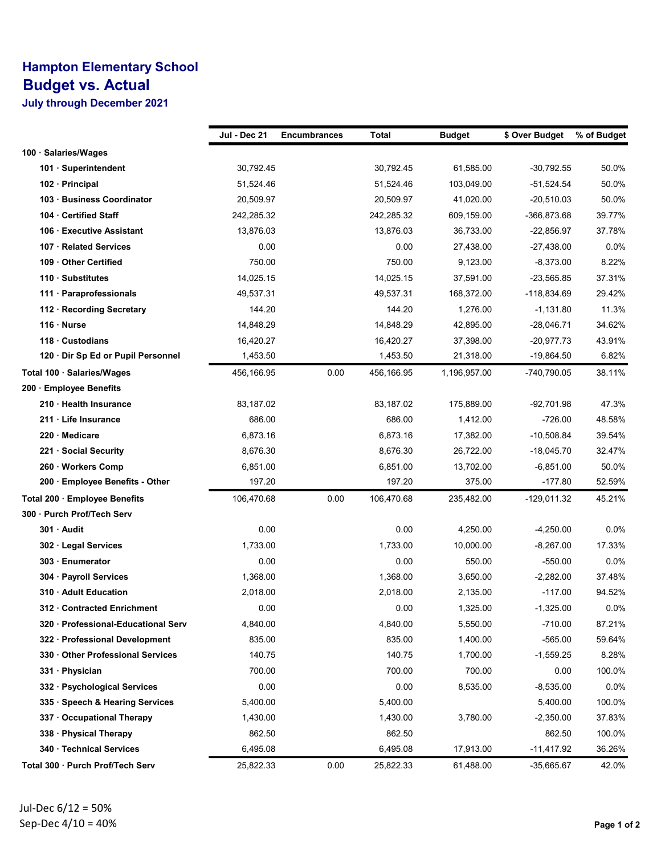## Hampton Elementary School Budget vs. Actual

July through December 2021

|                                     | Jul - Dec 21 | <b>Encumbrances</b> | Total      | <b>Budget</b> | \$ Over Budget | % of Budget |
|-------------------------------------|--------------|---------------------|------------|---------------|----------------|-------------|
| 100 · Salaries/Wages                |              |                     |            |               |                |             |
| 101 · Superintendent                | 30,792.45    |                     | 30,792.45  | 61,585.00     | $-30,792.55$   | 50.0%       |
| 102 · Principal                     | 51,524.46    |                     | 51,524.46  | 103,049.00    | $-51,524.54$   | 50.0%       |
| 103 · Business Coordinator          | 20,509.97    |                     | 20,509.97  | 41,020.00     | $-20,510.03$   | 50.0%       |
| 104 Certified Staff                 | 242,285.32   |                     | 242,285.32 | 609,159.00    | -366,873.68    | 39.77%      |
| 106 Executive Assistant             | 13,876.03    |                     | 13,876.03  | 36,733.00     | $-22,856.97$   | 37.78%      |
| 107 · Related Services              | 0.00         |                     | 0.00       | 27,438.00     | $-27,438.00$   | 0.0%        |
| 109 Other Certified                 | 750.00       |                     | 750.00     | 9,123.00      | $-8,373.00$    | 8.22%       |
| 110 · Substitutes                   | 14,025.15    |                     | 14,025.15  | 37,591.00     | $-23,565.85$   | 37.31%      |
| 111 · Paraprofessionals             | 49,537.31    |                     | 49,537.31  | 168,372.00    | $-118,834.69$  | 29.42%      |
| 112 · Recording Secretary           | 144.20       |                     | 144.20     | 1,276.00      | $-1,131.80$    | 11.3%       |
| $116 \cdot$ Nurse                   | 14,848.29    |                     | 14,848.29  | 42,895.00     | $-28,046.71$   | 34.62%      |
| 118 Custodians                      | 16,420.27    |                     | 16,420.27  | 37,398.00     | $-20,977.73$   | 43.91%      |
| 120 · Dir Sp Ed or Pupil Personnel  | 1,453.50     |                     | 1,453.50   | 21,318.00     | $-19,864.50$   | 6.82%       |
| Total 100 · Salaries/Wages          | 456,166.95   | 0.00                | 456,166.95 | 1,196,957.00  | -740,790.05    | 38.11%      |
| 200 · Employee Benefits             |              |                     |            |               |                |             |
| 210 · Health Insurance              | 83,187.02    |                     | 83,187.02  | 175,889.00    | $-92,701.98$   | 47.3%       |
| 211 Life Insurance                  | 686.00       |                     | 686.00     | 1,412.00      | $-726.00$      | 48.58%      |
| 220 Medicare                        | 6,873.16     |                     | 6,873.16   | 17,382.00     | $-10,508.84$   | 39.54%      |
| 221 · Social Security               | 8,676.30     |                     | 8,676.30   | 26,722.00     | $-18,045.70$   | 32.47%      |
| 260 · Workers Comp                  | 6,851.00     |                     | 6,851.00   | 13,702.00     | $-6,851.00$    | 50.0%       |
| 200 · Employee Benefits - Other     | 197.20       |                     | 197.20     | 375.00        | $-177.80$      | 52.59%      |
| Total 200 · Employee Benefits       | 106,470.68   | 0.00                | 106,470.68 | 235,482.00    | $-129,011.32$  | 45.21%      |
| 300 · Purch Prof/Tech Serv          |              |                     |            |               |                |             |
| 301 · Audit                         | 0.00         |                     | 0.00       | 4,250.00      | $-4,250.00$    | $0.0\%$     |
| 302 · Legal Services                | 1,733.00     |                     | 1,733.00   | 10,000.00     | $-8,267.00$    | 17.33%      |
| 303 Enumerator                      | 0.00         |                     | 0.00       | 550.00        | $-550.00$      | 0.0%        |
| 304 · Payroll Services              | 1,368.00     |                     | 1,368.00   | 3,650.00      | $-2,282.00$    | 37.48%      |
| 310 · Adult Education               | 2,018.00     |                     | 2,018.00   | 2,135.00      | $-117.00$      | 94.52%      |
| 312 · Contracted Enrichment         | 0.00         |                     | 0.00       | 1,325.00      | $-1,325.00$    | $0.0\%$     |
| 320 · Professional-Educational Serv | 4,840.00     |                     | 4,840.00   | 5,550.00      | $-710.00$      | 87.21%      |
| 322 · Professional Development      | 835.00       |                     | 835.00     | 1,400.00      | $-565.00$      | 59.64%      |
| 330 Other Professional Services     | 140.75       |                     | 140.75     | 1,700.00      | $-1,559.25$    | 8.28%       |
| 331 · Physician                     | 700.00       |                     | 700.00     | 700.00        | 0.00           | 100.0%      |
| 332 · Psychological Services        | 0.00         |                     | 0.00       | 8,535.00      | $-8,535.00$    | 0.0%        |
| 335 · Speech & Hearing Services     | 5,400.00     |                     | 5,400.00   |               | 5,400.00       | 100.0%      |
| 337 Occupational Therapy            | 1,430.00     |                     | 1,430.00   | 3,780.00      | $-2,350.00$    | 37.83%      |
| 338 · Physical Therapy              | 862.50       |                     | 862.50     |               | 862.50         | 100.0%      |
| 340 · Technical Services            | 6,495.08     |                     | 6,495.08   | 17,913.00     | $-11,417.92$   | 36.26%      |
| Total 300 · Purch Prof/Tech Serv    | 25,822.33    | 0.00                | 25,822.33  | 61,488.00     | -35,665.67     | 42.0%       |